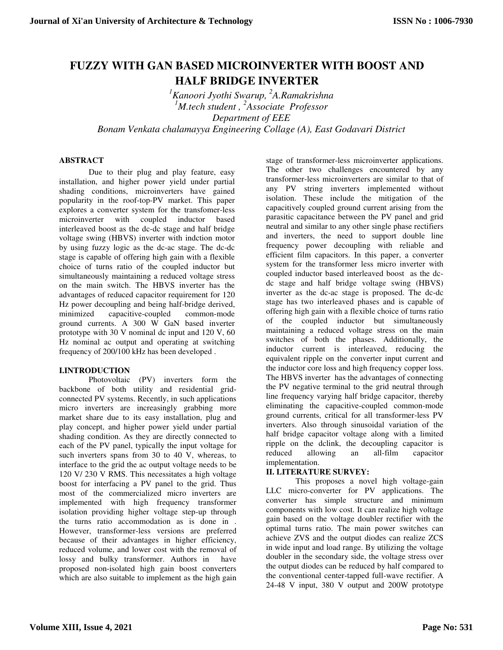# **FUZZY WITH GAN BASED MICROINVERTER WITH BOOST AND HALF BRIDGE INVERTER**

*<sup>1</sup>Kanoori Jyothi Swarup, <sup>2</sup> A.Ramakrishna <sup>1</sup>M.tech student , <sup>2</sup> Associate Professor Department of EEE Bonam Venkata chalamayya Engineering Collage (A), East Godavari District* 

# **ABSTRACT**

Due to their plug and play feature, easy installation, and higher power yield under partial shading conditions, microinverters have gained popularity in the roof-top-PV market. This paper explores a converter system for the transfomer-less microinverter with coupled inductor based interleaved boost as the dc-dc stage and half bridge voltage swing (HBVS) inverter with indction motor by using fuzzy logic as the dc-ac stage. The dc-dc stage is capable of offering high gain with a flexible choice of turns ratio of the coupled inductor but simultaneously maintaining a reduced voltage stress on the main switch. The HBVS inverter has the advantages of reduced capacitor requirement for 120 Hz power decoupling and being half-bridge derived, minimized capacitive-coupled common-mode ground currents. A 300 W GaN based inverter prototype with 30 V nominal dc input and 120 V, 60 Hz nominal ac output and operating at switching frequency of 200/100 kHz has been developed .

# **I.INTRODUCTION**

 Photovoltaic (PV) inverters form the backbone of both utility and residential gridconnected PV systems. Recently, in such applications micro inverters are increasingly grabbing more market share due to its easy installation, plug and play concept, and higher power yield under partial shading condition. As they are directly connected to each of the PV panel, typically the input voltage for such inverters spans from 30 to 40 V, whereas, to interface to the grid the ac output voltage needs to be 120 V/ 230 V RMS. This necessitates a high voltage boost for interfacing a PV panel to the grid. Thus most of the commercialized micro inverters are implemented with high frequency transformer isolation providing higher voltage step-up through the turns ratio accommodation as is done in . However, transformer-less versions are preferred because of their advantages in higher efficiency, reduced volume, and lower cost with the removal of lossy and bulky transformer. Authors in have proposed non-isolated high gain boost converters which are also suitable to implement as the high gain

stage of transformer-less microinverter applications. The other two challenges encountered by any transformer-less microinverters are similar to that of any PV string inverters implemented without isolation. These include the mitigation of the capacitively coupled ground current arising from the parasitic capacitance between the PV panel and grid neutral and similar to any other single phase rectifiers and inverters, the need to support double line frequency power decoupling with reliable and efficient film capacitors. In this paper, a converter system for the transformer less micro inverter with coupled inductor based interleaved boost as the dcdc stage and half bridge voltage swing (HBVS) inverter as the dc-ac stage is proposed. The dc-dc stage has two interleaved phases and is capable of offering high gain with a flexible choice of turns ratio of the coupled inductor but simultaneously maintaining a reduced voltage stress on the main switches of both the phases. Additionally, the inductor current is interleaved, reducing the equivalent ripple on the converter input current and the inductor core loss and high frequency copper loss. The HBVS inverter has the advantages of connecting the PV negative terminal to the grid neutral through line frequency varying half bridge capacitor, thereby eliminating the capacitive-coupled common-mode ground currents, critical for all transformer-less PV inverters. Also through sinusoidal variation of the half bridge capacitor voltage along with a limited ripple on the dclink, the decoupling capacitor is reduced allowing an all-film capacitor implementation.

# **II. LITERATURE SURVEY:**

This proposes a novel high voltage-gain LLC micro-converter for PV applications. The converter has simple structure and minimum components with low cost. It can realize high voltage gain based on the voltage doubler rectifier with the optimal turns ratio. The main power switches can achieve ZVS and the output diodes can realize ZCS in wide input and load range. By utilizing the voltage doubler in the secondary side, the voltage stress over the output diodes can be reduced by half compared to the conventional center-tapped full-wave rectifier. A 24-48 V input, 380 V output and 200W prototype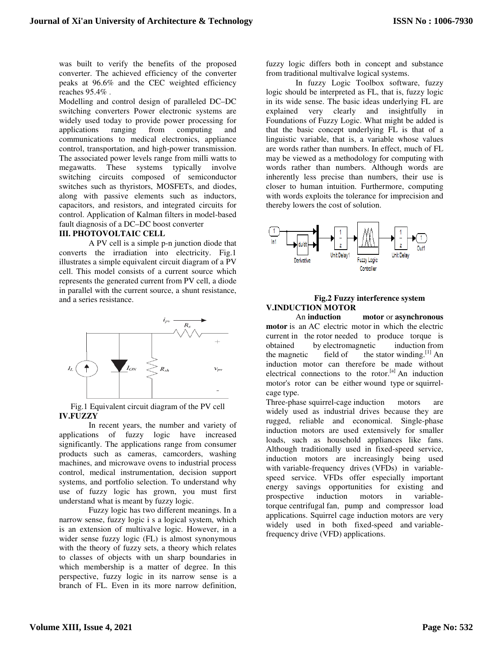was built to verify the benefits of the proposed converter. The achieved efficiency of the converter peaks at 96.6% and the CEC weighted efficiency reaches 95.4% .

Modelling and control design of paralleled DC–DC switching converters Power electronic systems are widely used today to provide power processing for applications ranging from computing and communications to medical electronics, appliance control, transportation, and high-power transmission. The associated power levels range from milli watts to megawatts. These systems typically involve switching circuits composed of semiconductor switches such as thyristors, MOSFETs, and diodes, along with passive elements such as inductors, capacitors, and resistors, and integrated circuits for control. Application of Kalman filters in model-based fault diagnosis of a DC–DC boost converter

#### **III. PHOTOVOLTAIC CELL**

A PV cell is a simple p-n junction diode that converts the irradiation into electricity. Fig.1 illustrates a simple equivalent circuit diagram of a PV cell. This model consists of a current source which represents the generated current from PV cell, a diode in parallel with the current source, a shunt resistance, and a series resistance.





In recent years, the number and variety of applications of fuzzy logic have increased significantly. The applications range from consumer products such as cameras, camcorders, washing machines, and microwave ovens to industrial process control, medical instrumentation, decision support systems, and portfolio selection. To understand why use of fuzzy logic has grown, you must first understand what is meant by fuzzy logic.

Fuzzy logic has two different meanings. In a narrow sense, fuzzy logic i s a logical system, which is an extension of multivalve logic. However, in a wider sense fuzzy logic (FL) is almost synonymous with the theory of fuzzy sets, a theory which relates to classes of objects with un sharp boundaries in which membership is a matter of degree. In this perspective, fuzzy logic in its narrow sense is a branch of FL. Even in its more narrow definition,

fuzzy logic differs both in concept and substance from traditional multivalve logical systems.

 In fuzzy Logic Toolbox software, fuzzy logic should be interpreted as FL, that is, fuzzy logic in its wide sense. The basic ideas underlying FL are explained very clearly and insightfully in Foundations of Fuzzy Logic. What might be added is that the basic concept underlying FL is that of a linguistic variable, that is, a variable whose values are words rather than numbers. In effect, much of FL may be viewed as a methodology for computing with words rather than numbers. Although words are inherently less precise than numbers, their use is closer to human intuition. Furthermore, computing with words exploits the tolerance for imprecision and thereby lowers the cost of solution.



## **Fig.2 Fuzzy interference system V.INDUCTION MOTOR**

An **induction motor** or **asynchronous motor** is an AC electric motor in which the electric current in the rotor needed to produce torque is obtained by electromagnetic induction from the magnetic field of the stator winding. $\begin{bmatrix} 1 \end{bmatrix}$  An induction motor can therefore be made without electrical connections to the rotor.<sup>[a]</sup> An induction motor's rotor can be either wound type or squirrelcage type.

Three-phase squirrel-cage induction motors are widely used as industrial drives because they are rugged, reliable and economical. Single-phase induction motors are used extensively for smaller loads, such as household appliances like fans. Although traditionally used in fixed-speed service, induction motors are increasingly being used with variable-frequency drives (VFDs) in variablespeed service. VFDs offer especially important energy savings opportunities for existing and prospective induction motors in variabletorque centrifugal fan, pump and compressor load applications. Squirrel cage induction motors are very widely used in both fixed-speed and variablefrequency drive (VFD) applications.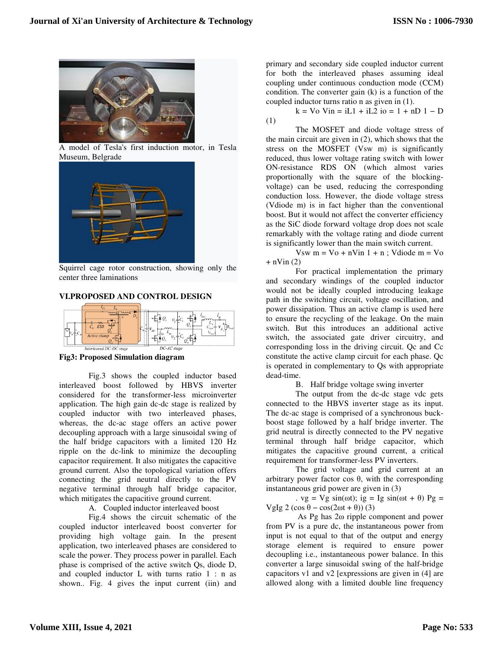

A model of Tesla's first induction motor, in Tesla Museum, Belgrade



Squirrel cage rotor construction, showing only the center three laminations

#### **VI.PROPOSED AND CONTROL DESIGN**



**Fig3: Proposed Simulation diagram** 

Fig.3 shows the coupled inductor based interleaved boost followed by HBVS inverter considered for the transformer-less microinverter application. The high gain dc-dc stage is realized by coupled inductor with two interleaved phases, whereas, the dc-ac stage offers an active power decoupling approach with a large sinusoidal swing of the half bridge capacitors with a limited 120 Hz ripple on the dc-link to minimize the decoupling capacitor requirement. It also mitigates the capacitive ground current. Also the topological variation offers connecting the grid neutral directly to the PV negative terminal through half bridge capacitor, which mitigates the capacitive ground current.

A. Coupled inductor interleaved boost

Fig.4 shows the circuit schematic of the coupled inductor interleaved boost converter for providing high voltage gain. In the present application, two interleaved phases are considered to scale the power. They process power in parallel. Each phase is comprised of the active switch Qs, diode D, and coupled inductor L with turns ratio 1 : n as shown.. Fig. 4 gives the input current (iin) and

primary and secondary side coupled inductor current for both the interleaved phases assuming ideal coupling under continuous conduction mode (CCM) condition. The converter gain (k) is a function of the coupled inductor turns ratio n as given in (1).

 $k = Vo$  Vin = iL1 + iL2 io = 1 + nD 1 - D

(1)

The MOSFET and diode voltage stress of the main circuit are given in (2), which shows that the stress on the MOSFET (Vsw m) is significantly reduced, thus lower voltage rating switch with lower ON-resistance RDS ON (which almost varies proportionally with the square of the blockingvoltage) can be used, reducing the corresponding conduction loss. However, the diode voltage stress (Vdiode m) is in fact higher than the conventional boost. But it would not affect the converter efficiency as the SiC diode forward voltage drop does not scale remarkably with the voltage rating and diode current is significantly lower than the main switch current.

 $Vsw m = Vo + nV in 1 + n$ ; Vdiode  $m = Vo$  $+$  nVin (2)

For practical implementation the primary and secondary windings of the coupled inductor would not be ideally coupled introducing leakage path in the switching circuit, voltage oscillation, and power dissipation. Thus an active clamp is used here to ensure the recycling of the leakage. On the main switch. But this introduces an additional active switch, the associated gate driver circuitry, and corresponding loss in the driving circuit. Qc and Cc constitute the active clamp circuit for each phase. Qc is operated in complementary to Qs with appropriate dead-time.

B. Half bridge voltage swing inverter

The output from the dc-dc stage vdc gets connected to the HBVS inverter stage as its input. The dc-ac stage is comprised of a synchronous buckboost stage followed by a half bridge inverter. The grid neutral is directly connected to the PV negative terminal through half bridge capacitor, which mitigates the capacitive ground current, a critical requirement for transformer-less PV inverters.

The grid voltage and grid current at an arbitrary power factor cos  $θ$ , with the corresponding instantaneous grid power are given in (3)

.  $vg = Vg \sin(\omega t)$ ;  $ig = Ig \sin(\omega t + \theta) Pg =$ VgIg 2 (cos  $\theta$  – cos(2ωt +  $\theta$ )) (3)

 As Pg has 2ω ripple component and power from PV is a pure dc, the instantaneous power from input is not equal to that of the output and energy storage element is required to ensure power decoupling i.e., instantaneous power balance. In this converter a large sinusoidal swing of the half-bridge capacitors v1 and v2 [expressions are given in (4] are allowed along with a limited double line frequency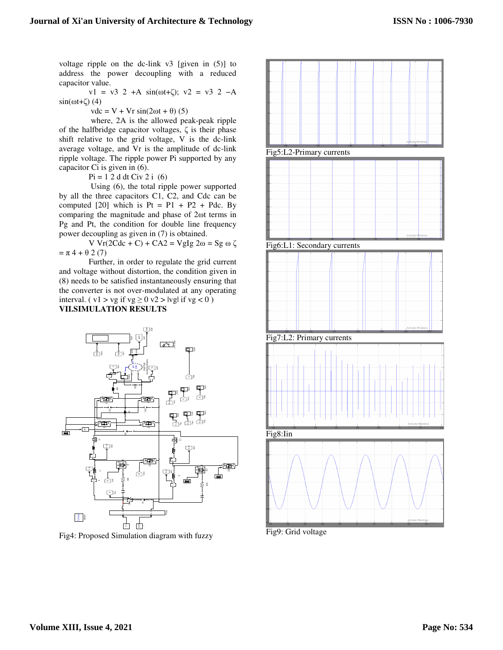voltage ripple on the dc-link v3 [given in (5)] to address the power decoupling with a reduced capacitor value.

 $v1 = v3$  2 +A sin( $\omega t + \zeta$ );  $v2 = v3$  2 -A  $sin(\omega t + \zeta)$  (4)

vdc = V + Vr sin( $2\omega t$  +  $\theta$ ) (5)

 where, 2A is the allowed peak-peak ripple of the halfbridge capacitor voltages, ζ is their phase shift relative to the grid voltage, V is the dc-link average voltage, and Vr is the amplitude of dc-link ripple voltage. The ripple power Pi supported by any capacitor Ci is given in (6).

 $Pi = 12$  d dt Civ 2 i (6)

 Using (6), the total ripple power supported by all the three capacitors C1, C2, and Cdc can be computed [20] which is  $Pt = P1 + P2 + Pdc$ . By comparing the magnitude and phase of 2ωt terms in Pg and Pt, the condition for double line frequency power decoupling as given in (7) is obtained.

V Vr(2Cdc + C) + CA2 = VgIg 2ω = Sg ω ζ  $= \pi 4 + \theta 2 (7)$ 

Further, in order to regulate the grid current and voltage without distortion, the condition given in (8) needs to be satisfied instantaneously ensuring that the converter is not over-modulated at any operating interval. ( $v1 > vg$  if  $vg \ge 0$   $v2 > vgl$  if  $vg < 0$ ) **VII.SIMULATION RESULTS** 



Fig4: Proposed Simulation diagram with fuzzy



Fig9: Grid voltage